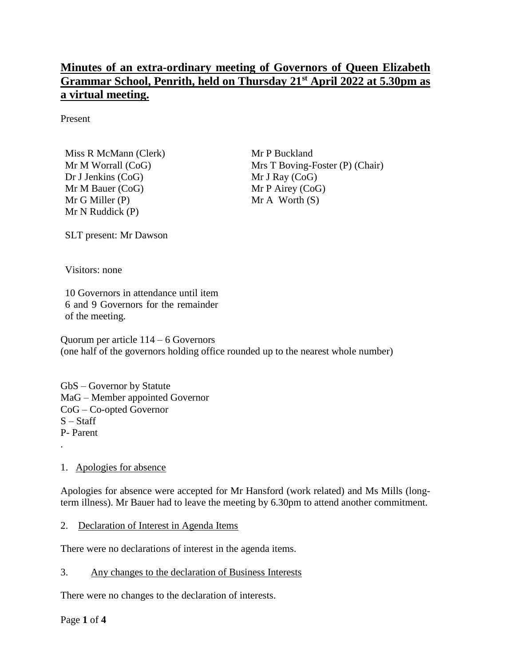# **Minutes of an extra-ordinary meeting of Governors of Queen Elizabeth Grammar School, Penrith, held on Thursday 21st April 2022 at 5.30pm as a virtual meeting.**

Present

Miss R McMann (Clerk) Mr M Worrall (CoG) Dr J Jenkins (CoG) Mr M Bauer (CoG) Mr G Miller (P) Mr N Ruddick (P)

Mr P Buckland Mrs T Boving-Foster (P) (Chair) Mr J Ray (CoG) Mr P Airey (CoG)  $Mr A Worth(S)$ 

SLT present: Mr Dawson

Visitors: none

10 Governors in attendance until item 6 and 9 Governors for the remainder of the meeting.

Quorum per article 114 – 6 Governors (one half of the governors holding office rounded up to the nearest whole number)

GbS – Governor by Statute MaG – Member appointed Governor CoG – Co-opted Governor  $S - Staff$ P- Parent

#### 1. Apologies for absence

.

Apologies for absence were accepted for Mr Hansford (work related) and Ms Mills (longterm illness). Mr Bauer had to leave the meeting by 6.30pm to attend another commitment.

#### 2. Declaration of Interest in Agenda Items

There were no declarations of interest in the agenda items.

3. Any changes to the declaration of Business Interests

There were no changes to the declaration of interests.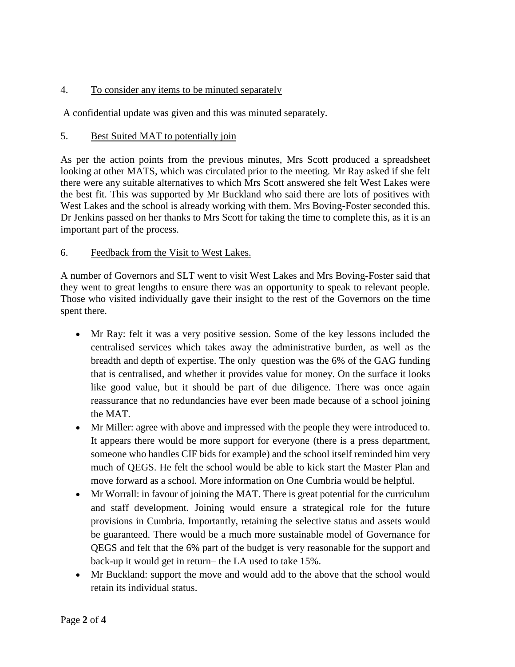## 4. To consider any items to be minuted separately

A confidential update was given and this was minuted separately.

## 5. Best Suited MAT to potentially join

As per the action points from the previous minutes, Mrs Scott produced a spreadsheet looking at other MATS, which was circulated prior to the meeting. Mr Ray asked if she felt there were any suitable alternatives to which Mrs Scott answered she felt West Lakes were the best fit. This was supported by Mr Buckland who said there are lots of positives with West Lakes and the school is already working with them. Mrs Boving-Foster seconded this. Dr Jenkins passed on her thanks to Mrs Scott for taking the time to complete this, as it is an important part of the process.

## 6. Feedback from the Visit to West Lakes.

A number of Governors and SLT went to visit West Lakes and Mrs Boving-Foster said that they went to great lengths to ensure there was an opportunity to speak to relevant people. Those who visited individually gave their insight to the rest of the Governors on the time spent there.

- Mr Ray: felt it was a very positive session. Some of the key lessons included the centralised services which takes away the administrative burden, as well as the breadth and depth of expertise. The only question was the 6% of the GAG funding that is centralised, and whether it provides value for money. On the surface it looks like good value, but it should be part of due diligence. There was once again reassurance that no redundancies have ever been made because of a school joining the MAT.
- Mr Miller: agree with above and impressed with the people they were introduced to. It appears there would be more support for everyone (there is a press department, someone who handles CIF bids for example) and the school itself reminded him very much of QEGS. He felt the school would be able to kick start the Master Plan and move forward as a school. More information on One Cumbria would be helpful.
- Mr Worrall: in favour of joining the MAT. There is great potential for the curriculum and staff development. Joining would ensure a strategical role for the future provisions in Cumbria. Importantly, retaining the selective status and assets would be guaranteed. There would be a much more sustainable model of Governance for QEGS and felt that the 6% part of the budget is very reasonable for the support and back-up it would get in return– the LA used to take 15%.
- Mr Buckland: support the move and would add to the above that the school would retain its individual status.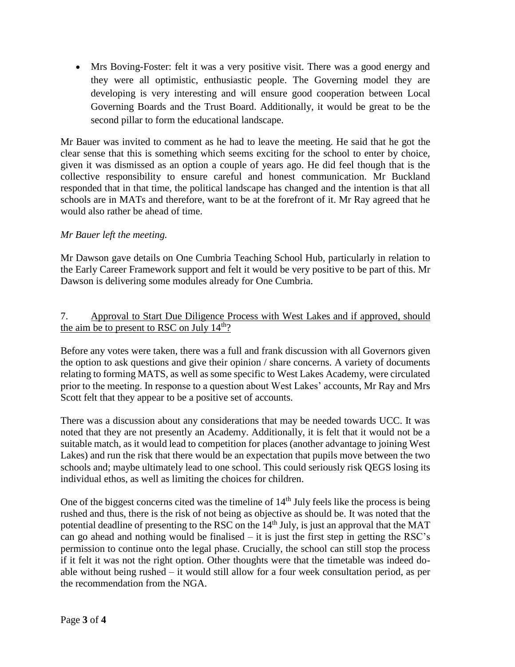Mrs Boving-Foster: felt it was a very positive visit. There was a good energy and they were all optimistic, enthusiastic people. The Governing model they are developing is very interesting and will ensure good cooperation between Local Governing Boards and the Trust Board. Additionally, it would be great to be the second pillar to form the educational landscape.

Mr Bauer was invited to comment as he had to leave the meeting. He said that he got the clear sense that this is something which seems exciting for the school to enter by choice, given it was dismissed as an option a couple of years ago. He did feel though that is the collective responsibility to ensure careful and honest communication. Mr Buckland responded that in that time, the political landscape has changed and the intention is that all schools are in MATs and therefore, want to be at the forefront of it. Mr Ray agreed that he would also rather be ahead of time.

## *Mr Bauer left the meeting.*

Mr Dawson gave details on One Cumbria Teaching School Hub, particularly in relation to the Early Career Framework support and felt it would be very positive to be part of this. Mr Dawson is delivering some modules already for One Cumbria.

#### 7. Approval to Start Due Diligence Process with West Lakes and if approved, should the aim be to present to RSC on July  $14<sup>th</sup>$ ?

Before any votes were taken, there was a full and frank discussion with all Governors given the option to ask questions and give their opinion / share concerns. A variety of documents relating to forming MATS, as well as some specific to West Lakes Academy, were circulated prior to the meeting. In response to a question about West Lakes' accounts, Mr Ray and Mrs Scott felt that they appear to be a positive set of accounts.

There was a discussion about any considerations that may be needed towards UCC. It was noted that they are not presently an Academy. Additionally, it is felt that it would not be a suitable match, as it would lead to competition for places (another advantage to joining West Lakes) and run the risk that there would be an expectation that pupils move between the two schools and; maybe ultimately lead to one school. This could seriously risk QEGS losing its individual ethos, as well as limiting the choices for children.

One of the biggest concerns cited was the timeline of  $14<sup>th</sup>$  July feels like the process is being rushed and thus, there is the risk of not being as objective as should be. It was noted that the potential deadline of presenting to the RSC on the 14<sup>th</sup> July, is just an approval that the MAT can go ahead and nothing would be finalised – it is just the first step in getting the RSC's permission to continue onto the legal phase. Crucially, the school can still stop the process if it felt it was not the right option. Other thoughts were that the timetable was indeed doable without being rushed – it would still allow for a four week consultation period, as per the recommendation from the NGA.